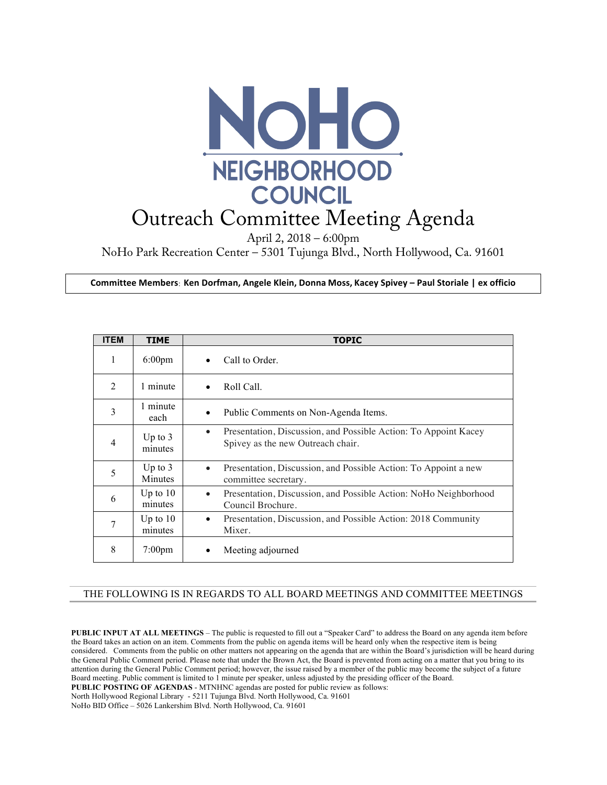

## Outreach Committee Meeting Agenda

April 2, 2018 – 6:00pm

NoHo Park Recreation Center – 5301 Tujunga Blvd., North Hollywood, Ca. 91601

**Committee Members: Ken Dorfman, Angele Klein, Donna Moss, Kacey Spivey – Paul Storiale | ex officio**

| <b>ITEM</b>    | <b>TIME</b>           | <b>TOPIC</b>                                                                                                      |
|----------------|-----------------------|-------------------------------------------------------------------------------------------------------------------|
| 1              | $6:00$ pm             | Call to Order.<br>$\bullet$                                                                                       |
| $\mathfrak{D}$ | 1 minute              | Roll Call.<br>$\bullet$                                                                                           |
| 3              | 1 minute<br>each      | Public Comments on Non-Agenda Items.<br>$\bullet$                                                                 |
| 4              | Up to $3$<br>minutes  | Presentation, Discussion, and Possible Action: To Appoint Kacey<br>$\bullet$<br>Spivey as the new Outreach chair. |
| 5              | Up to $3$<br>Minutes  | Presentation, Discussion, and Possible Action: To Appoint a new<br>$\bullet$<br>committee secretary.              |
| 6              | Up to $10$<br>minutes | Presentation, Discussion, and Possible Action: NoHo Neighborhood<br>$\bullet$<br>Council Brochure.                |
| 7              | Up to $10$<br>minutes | Presentation, Discussion, and Possible Action: 2018 Community<br>$\bullet$<br>Mixer.                              |
| 8              | $7:00 \text{pm}$      | Meeting adjourned                                                                                                 |

## THE FOLLOWING IS IN REGARDS TO ALL BOARD MEETINGS AND COMMITTEE MEETINGS

**PUBLIC INPUT AT ALL MEETINGS** – The public is requested to fill out a "Speaker Card" to address the Board on any agenda item before the Board takes an action on an item. Comments from the public on agenda items will be heard only when the respective item is being considered. Comments from the public on other matters not appearing on the agenda that are within the Board's jurisdiction will be heard during the General Public Comment period. Please note that under the Brown Act, the Board is prevented from acting on a matter that you bring to its attention during the General Public Comment period; however, the issue raised by a member of the public may become the subject of a future Board meeting. Public comment is limited to 1 minute per speaker, unless adjusted by the presiding officer of the Board. **PUBLIC POSTING OF AGENDAS** - MTNHNC agendas are posted for public review as follows: North Hollywood Regional Library - 5211 Tujunga Blvd. North Hollywood, Ca. 91601 NoHo BID Office – 5026 Lankershim Blvd. North Hollywood, Ca. 91601